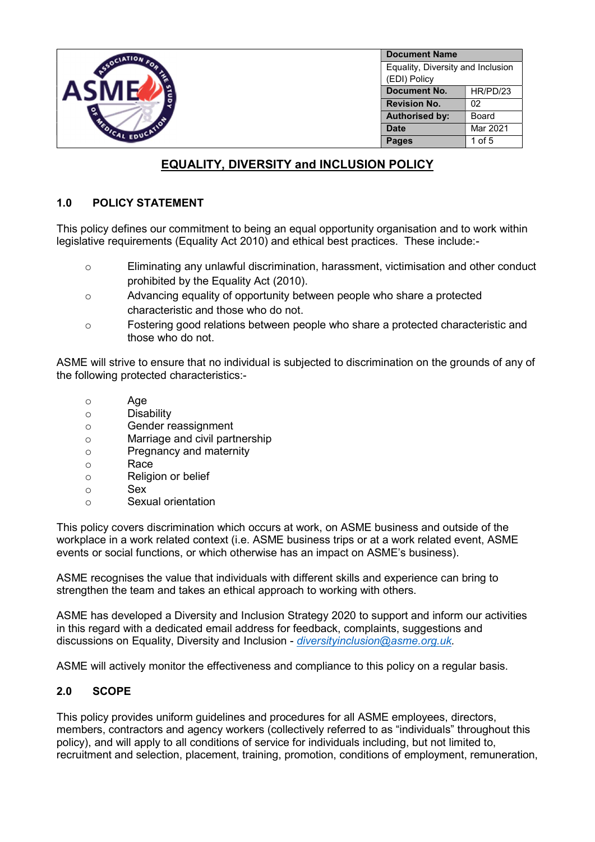

# EQUALITY, DIVERSITY and INCLUSION POLICY

# 1.0 POLICY STATEMENT

This policy defines our commitment to being an equal opportunity organisation and to work within legislative requirements (Equality Act 2010) and ethical best practices. These include:-

- o Eliminating any unlawful discrimination, harassment, victimisation and other conduct prohibited by the Equality Act (2010).
- o Advancing equality of opportunity between people who share a protected characteristic and those who do not.
- o Fostering good relations between people who share a protected characteristic and those who do not.

ASME will strive to ensure that no individual is subjected to discrimination on the grounds of any of the following protected characteristics:-

- o Age
- o Disability
- o Gender reassignment
- o Marriage and civil partnership
- o Pregnancy and maternity
- o Race
- o Religion or belief
- o Sex
- o Sexual orientation

This policy covers discrimination which occurs at work, on ASME business and outside of the workplace in a work related context (i.e. ASME business trips or at a work related event, ASME events or social functions, or which otherwise has an impact on ASME's business).

ASME recognises the value that individuals with different skills and experience can bring to strengthen the team and takes an ethical approach to working with others.

ASME has developed a Diversity and Inclusion Strategy 2020 to support and inform our activities in this regard with a dedicated email address for feedback, complaints, suggestions and discussions on Equality, Diversity and Inclusion - *diversityinclusion@asme.org.uk.* 

ASME will actively monitor the effectiveness and compliance to this policy on a regular basis.

# 2.0 SCOPE

This policy provides uniform guidelines and procedures for all ASME employees, directors, members, contractors and agency workers (collectively referred to as "individuals" throughout this policy), and will apply to all conditions of service for individuals including, but not limited to, recruitment and selection, placement, training, promotion, conditions of employment, remuneration,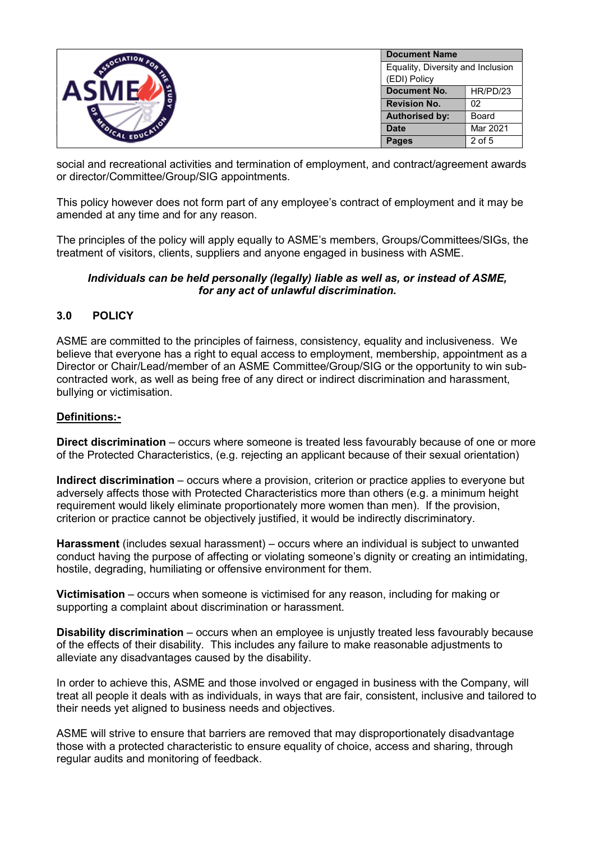|                      | <b>Document Name</b>                |          |  |
|----------------------|-------------------------------------|----------|--|
| SSOCIATION FOR       | Equality, Diversity and Inclusion   |          |  |
| ৢ<br>FOICAL EDUCATIO | (EDI) Policy<br><b>Document No.</b> | HR/PD/23 |  |
|                      | <b>Revision No.</b>                 | 02       |  |
|                      | <b>Authorised by:</b>               | Board    |  |
|                      | <b>Date</b>                         | Mar 2021 |  |
|                      | <b>Pages</b>                        | $2$ of 5 |  |

social and recreational activities and termination of employment, and contract/agreement awards or director/Committee/Group/SIG appointments.

This policy however does not form part of any employee's contract of employment and it may be amended at any time and for any reason.

The principles of the policy will apply equally to ASME's members, Groups/Committees/SIGs, the treatment of visitors, clients, suppliers and anyone engaged in business with ASME.

#### Individuals can be held personally (legally) liable as well as, or instead of ASME, for any act of unlawful discrimination.

# 3.0 POLICY

ASME are committed to the principles of fairness, consistency, equality and inclusiveness. We believe that everyone has a right to equal access to employment, membership, appointment as a Director or Chair/Lead/member of an ASME Committee/Group/SIG or the opportunity to win subcontracted work, as well as being free of any direct or indirect discrimination and harassment, bullying or victimisation.

#### Definitions:-

Direct discrimination – occurs where someone is treated less favourably because of one or more of the Protected Characteristics, (e.g. rejecting an applicant because of their sexual orientation)

Indirect discrimination – occurs where a provision, criterion or practice applies to everyone but adversely affects those with Protected Characteristics more than others (e.g. a minimum height requirement would likely eliminate proportionately more women than men). If the provision, criterion or practice cannot be objectively justified, it would be indirectly discriminatory.

Harassment (includes sexual harassment) – occurs where an individual is subject to unwanted conduct having the purpose of affecting or violating someone's dignity or creating an intimidating, hostile, degrading, humiliating or offensive environment for them.

Victimisation – occurs when someone is victimised for any reason, including for making or supporting a complaint about discrimination or harassment.

**Disability discrimination** – occurs when an employee is uniustly treated less favourably because of the effects of their disability. This includes any failure to make reasonable adjustments to alleviate any disadvantages caused by the disability.

In order to achieve this, ASME and those involved or engaged in business with the Company, will treat all people it deals with as individuals, in ways that are fair, consistent, inclusive and tailored to their needs yet aligned to business needs and objectives.

ASME will strive to ensure that barriers are removed that may disproportionately disadvantage those with a protected characteristic to ensure equality of choice, access and sharing, through regular audits and monitoring of feedback.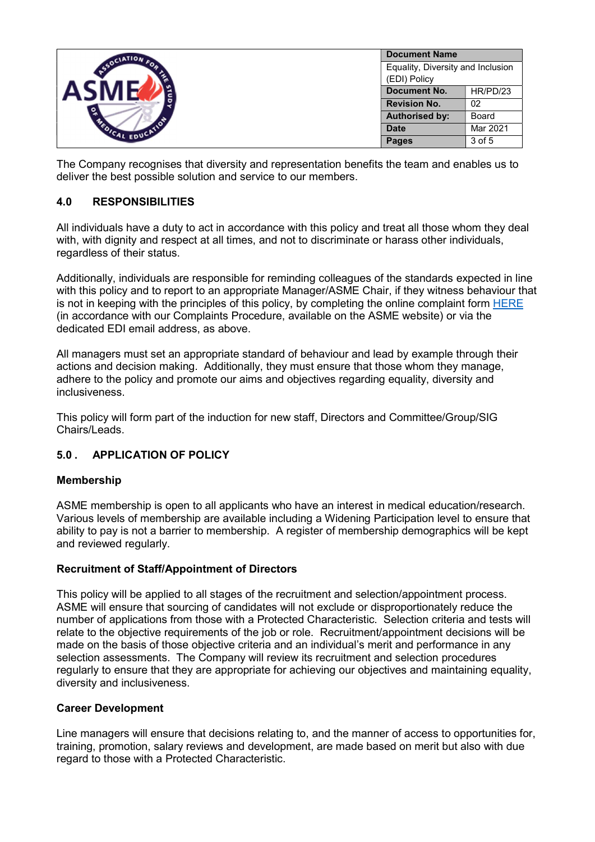|                        | <b>Document Name</b>              |              |  |
|------------------------|-----------------------------------|--------------|--|
| SSOCIATION             | Equality, Diversity and Inclusion |              |  |
| ್ಲಿ<br>FOICAL EDUCATIO | (EDI) Policy                      |              |  |
|                        | Document No.                      | HR/PD/23     |  |
|                        | <b>Revision No.</b>               | 02           |  |
|                        | <b>Authorised by:</b>             | <b>Board</b> |  |
|                        | <b>Date</b>                       | Mar 2021     |  |
|                        | <b>Pages</b>                      | 3 of 5       |  |

The Company recognises that diversity and representation benefits the team and enables us to deliver the best possible solution and service to our members.

# 4.0 RESPONSIBILITIES

All individuals have a duty to act in accordance with this policy and treat all those whom they deal with, with dignity and respect at all times, and not to discriminate or harass other individuals, regardless of their status.

Additionally, individuals are responsible for reminding colleagues of the standards expected in line with this policy and to report to an appropriate Manager/ASME Chair, if they witness behaviour that is not in keeping with the principles of this policy, by completing the online complaint form HERE (in accordance with our Complaints Procedure, available on the ASME website) or via the dedicated EDI email address, as above.

All managers must set an appropriate standard of behaviour and lead by example through their actions and decision making. Additionally, they must ensure that those whom they manage, adhere to the policy and promote our aims and objectives regarding equality, diversity and inclusiveness.

This policy will form part of the induction for new staff, Directors and Committee/Group/SIG Chairs/Leads.

# 5.0 . APPLICATION OF POLICY

#### Membership

ASME membership is open to all applicants who have an interest in medical education/research. Various levels of membership are available including a Widening Participation level to ensure that ability to pay is not a barrier to membership. A register of membership demographics will be kept and reviewed regularly.

#### Recruitment of Staff/Appointment of Directors

This policy will be applied to all stages of the recruitment and selection/appointment process. ASME will ensure that sourcing of candidates will not exclude or disproportionately reduce the number of applications from those with a Protected Characteristic. Selection criteria and tests will relate to the objective requirements of the job or role. Recruitment/appointment decisions will be made on the basis of those objective criteria and an individual's merit and performance in any selection assessments. The Company will review its recruitment and selection procedures regularly to ensure that they are appropriate for achieving our objectives and maintaining equality, diversity and inclusiveness.

#### Career Development

Line managers will ensure that decisions relating to, and the manner of access to opportunities for, training, promotion, salary reviews and development, are made based on merit but also with due regard to those with a Protected Characteristic.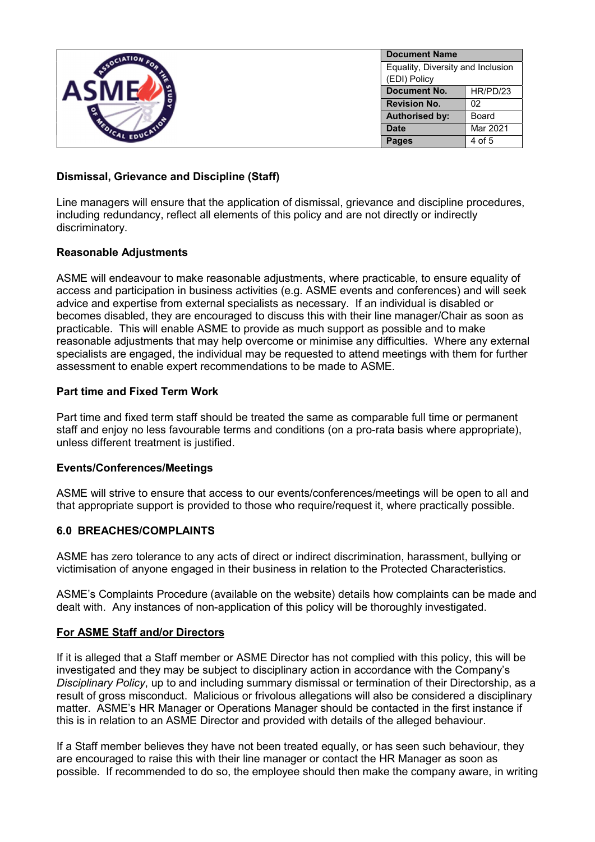|                                                | <b>Document Name</b>              |              |  |
|------------------------------------------------|-----------------------------------|--------------|--|
| SSOCIATION                                     | Equality, Diversity and Inclusion |              |  |
| $\tilde{\mathbf{S}}$<br><b>EDICAL EDUCATIO</b> | (EDI) Policy                      |              |  |
|                                                | Document No.                      | HR/PD/23     |  |
|                                                | <b>Revision No.</b>               | 02           |  |
|                                                | <b>Authorised by:</b>             | <b>Board</b> |  |
|                                                | <b>Date</b>                       | Mar 2021     |  |
|                                                | <b>Pages</b>                      | 4 of 5       |  |

### Dismissal, Grievance and Discipline (Staff)

Line managers will ensure that the application of dismissal, grievance and discipline procedures, including redundancy, reflect all elements of this policy and are not directly or indirectly discriminatory.

#### Reasonable Adjustments

ASME will endeavour to make reasonable adjustments, where practicable, to ensure equality of access and participation in business activities (e.g. ASME events and conferences) and will seek advice and expertise from external specialists as necessary. If an individual is disabled or becomes disabled, they are encouraged to discuss this with their line manager/Chair as soon as practicable. This will enable ASME to provide as much support as possible and to make reasonable adjustments that may help overcome or minimise any difficulties. Where any external specialists are engaged, the individual may be requested to attend meetings with them for further assessment to enable expert recommendations to be made to ASME.

#### Part time and Fixed Term Work

Part time and fixed term staff should be treated the same as comparable full time or permanent staff and enjoy no less favourable terms and conditions (on a pro-rata basis where appropriate), unless different treatment is justified.

#### Events/Conferences/Meetings

ASME will strive to ensure that access to our events/conferences/meetings will be open to all and that appropriate support is provided to those who require/request it, where practically possible.

#### 6.0 BREACHES/COMPLAINTS

ASME has zero tolerance to any acts of direct or indirect discrimination, harassment, bullying or victimisation of anyone engaged in their business in relation to the Protected Characteristics.

ASME's Complaints Procedure (available on the website) details how complaints can be made and dealt with. Any instances of non-application of this policy will be thoroughly investigated.

#### For ASME Staff and/or Directors

If it is alleged that a Staff member or ASME Director has not complied with this policy, this will be investigated and they may be subject to disciplinary action in accordance with the Company's Disciplinary Policy, up to and including summary dismissal or termination of their Directorship, as a result of gross misconduct. Malicious or frivolous allegations will also be considered a disciplinary matter. ASME's HR Manager or Operations Manager should be contacted in the first instance if this is in relation to an ASME Director and provided with details of the alleged behaviour.

If a Staff member believes they have not been treated equally, or has seen such behaviour, they are encouraged to raise this with their line manager or contact the HR Manager as soon as possible. If recommended to do so, the employee should then make the company aware, in writing